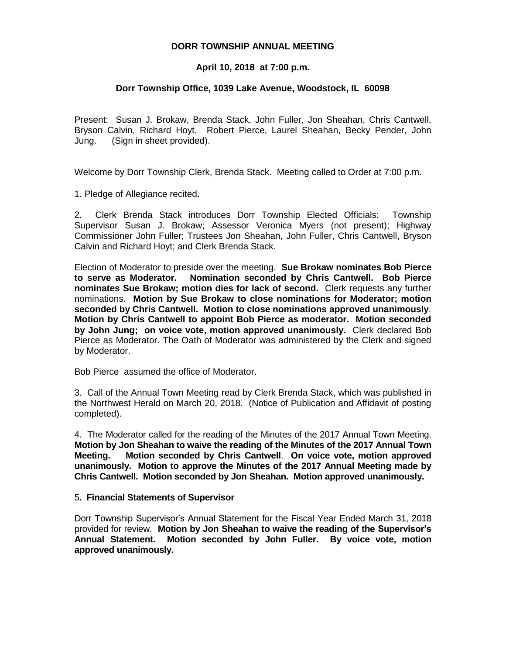#### **DORR TOWNSHIP ANNUAL MEETING**

#### **April 10, 2018 at 7:00 p.m.**

#### **Dorr Township Office, 1039 Lake Avenue, Woodstock, IL 60098**

Present: Susan J. Brokaw, Brenda Stack, John Fuller, Jon Sheahan, Chris Cantwell, Bryson Calvin, Richard Hoyt, Robert Pierce, Laurel Sheahan, Becky Pender, John Jung. (Sign in sheet provided).

Welcome by Dorr Township Clerk, Brenda Stack. Meeting called to Order at 7:00 p.m.

1. Pledge of Allegiance recited.

2. Clerk Brenda Stack introduces Dorr Township Elected Officials: Township Supervisor Susan J. Brokaw; Assessor Veronica Myers (not present); Highway Commissioner John Fuller; Trustees Jon Sheahan, John Fuller, Chris Cantwell, Bryson Calvin and Richard Hoyt; and Clerk Brenda Stack.

Election of Moderator to preside over the meeting. **Sue Brokaw nominates Bob Pierce to serve as Moderator. Nomination seconded by Chris Cantwell. Bob Pierce nominates Sue Brokaw; motion dies for lack of second.** Clerk requests any further nominations. **Motion by Sue Brokaw to close nominations for Moderator; motion seconded by Chris Cantwell. Motion to close nominations approved unanimously**. **Motion by Chris Cantwell to appoint Bob Pierce as moderator. Motion seconded by John Jung; on voice vote, motion approved unanimously.** Clerk declared Bob Pierce as Moderator. The Oath of Moderator was administered by the Clerk and signed by Moderator.

Bob Pierce assumed the office of Moderator.

3. Call of the Annual Town Meeting read by Clerk Brenda Stack, which was published in the Northwest Herald on March 20, 2018. (Notice of Publication and Affidavit of posting completed).

4. The Moderator called for the reading of the Minutes of the 2017 Annual Town Meeting. **Motion by Jon Sheahan to waive the reading of the Minutes of the 2017 Annual Town Meeting. Motion seconded by Chris Cantwell**. **On voice vote, motion approved unanimously. Motion to approve the Minutes of the 2017 Annual Meeting made by Chris Cantwell. Motion seconded by Jon Sheahan. Motion approved unanimously.**

#### 5**. Financial Statements of Supervisor**

Dorr Township Supervisor's Annual Statement for the Fiscal Year Ended March 31, 2018 provided for review. **Motion by Jon Sheahan to waive the reading of the Supervisor's Annual Statement. Motion seconded by John Fuller. By voice vote, motion approved unanimously.**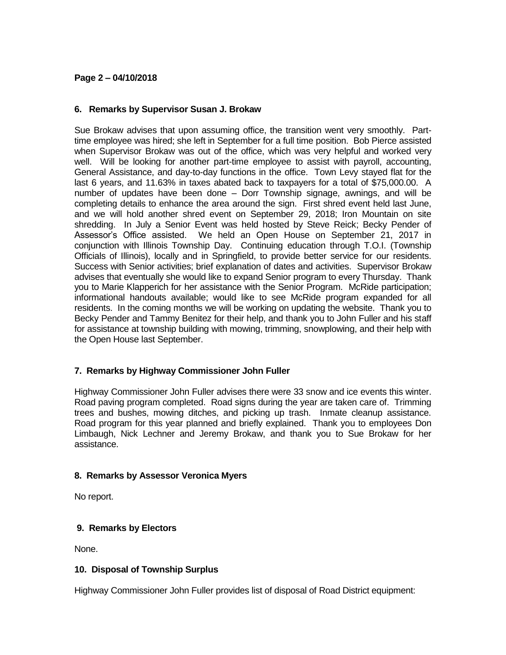# **Page 2 – 04/10/2018**

#### **6. Remarks by Supervisor Susan J. Brokaw**

Sue Brokaw advises that upon assuming office, the transition went very smoothly. Parttime employee was hired; she left in September for a full time position. Bob Pierce assisted when Supervisor Brokaw was out of the office, which was very helpful and worked very well. Will be looking for another part-time employee to assist with payroll, accounting, General Assistance, and day-to-day functions in the office. Town Levy stayed flat for the last 6 years, and 11.63% in taxes abated back to taxpayers for a total of \$75,000.00. A number of updates have been done – Dorr Township signage, awnings, and will be completing details to enhance the area around the sign. First shred event held last June, and we will hold another shred event on September 29, 2018; Iron Mountain on site shredding. In July a Senior Event was held hosted by Steve Reick; Becky Pender of Assessor's Office assisted. We held an Open House on September 21, 2017 in conjunction with Illinois Township Day. Continuing education through T.O.I. (Township Officials of Illinois), locally and in Springfield, to provide better service for our residents. Success with Senior activities; brief explanation of dates and activities. Supervisor Brokaw advises that eventually she would like to expand Senior program to every Thursday. Thank you to Marie Klapperich for her assistance with the Senior Program. McRide participation; informational handouts available; would like to see McRide program expanded for all residents. In the coming months we will be working on updating the website. Thank you to Becky Pender and Tammy Benitez for their help, and thank you to John Fuller and his staff for assistance at township building with mowing, trimming, snowplowing, and their help with the Open House last September.

## **7. Remarks by Highway Commissioner John Fuller**

Highway Commissioner John Fuller advises there were 33 snow and ice events this winter. Road paving program completed. Road signs during the year are taken care of. Trimming trees and bushes, mowing ditches, and picking up trash. Inmate cleanup assistance. Road program for this year planned and briefly explained. Thank you to employees Don Limbaugh, Nick Lechner and Jeremy Brokaw, and thank you to Sue Brokaw for her assistance.

## **8. Remarks by Assessor Veronica Myers**

No report.

## **9. Remarks by Electors**

None.

## **10. Disposal of Township Surplus**

Highway Commissioner John Fuller provides list of disposal of Road District equipment: